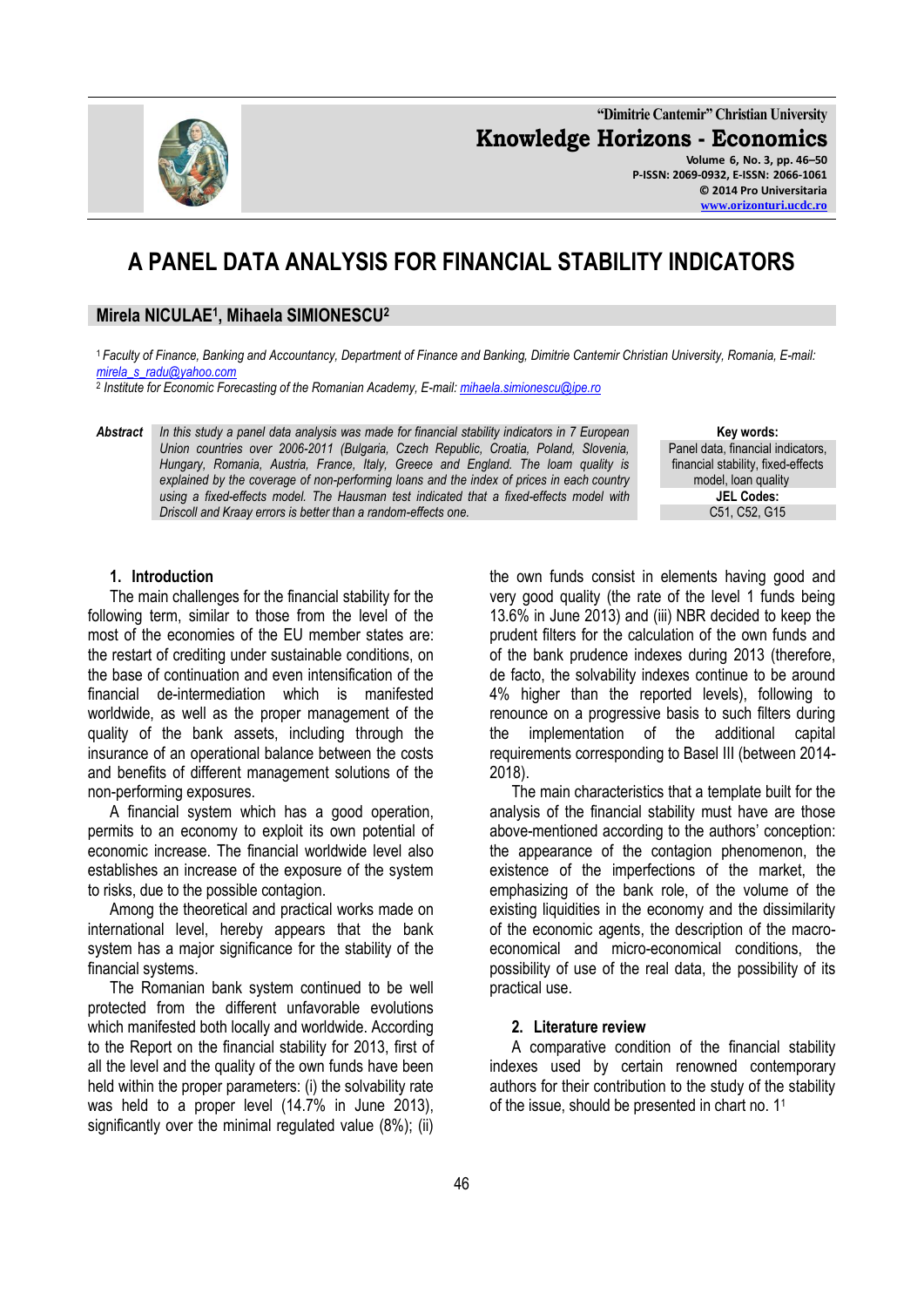

**"Dimitrie Cantemir" Christian University Knowledge Horizons - Economics Volume 6, No. 3, pp. 46–50 P-ISSN: 2069-0932, E-ISSN: 2066-1061 © 2014 Pro Universitaria**

**[www.orizonturi.ucdc.ro](http://www.orizonturi.ucdc.ro/)**

# **A PANEL DATA ANALYSIS FOR FINANCIAL STABILITY INDICATORS**

# **Mirela NICULAE<sup>1</sup> , Mihaela SIMIONESCU<sup>2</sup>**

<sup>1</sup>*Faculty of Finance, Banking and Accountancy, Department of Finance and Banking, Dimitrie Cantemir Christian University, Romania, E-mail: [mirela\\_s\\_radu@yahoo.com](mailto:mirela_s_radu@yahoo.com)*

2 *Institute for Economic Forecasting of the Romanian Academy, E-mail[: mihaela.simionescu@ipe.ro](mailto:mihaela.simionescu@ipe.ro)*

*Abstract In this study a panel data analysis was made for financial stability indicators in 7 European Union countries over 2006-2011 (Bulgaria, Czech Republic, Croatia, Poland, Slovenia, Hungary, Romania, Austria, France, Italy, Greece and England. The loam quality is explained by the coverage of non-performing loans and the index of prices in each country using a fixed-effects model. The Hausman test indicated that a fixed-effects model with Driscoll and Kraay errors is better than a random-effects one.*

**Key words:** Panel data, financial indicators, financial stability, fixed-effects model, loan quality **JEL Codes:** C51, C52, G15

### **1. Introduction**

The main challenges for the financial stability for the following term, similar to those from the level of the most of the economies of the EU member states are: the restart of crediting under sustainable conditions, on the base of continuation and even intensification of the financial de-intermediation which is manifested worldwide, as well as the proper management of the quality of the bank assets, including through the insurance of an operational balance between the costs and benefits of different management solutions of the non-performing exposures.

A financial system which has a good operation, permits to an economy to exploit its own potential of economic increase. The financial worldwide level also establishes an increase of the exposure of the system to risks, due to the possible contagion.

Among the theoretical and practical works made on international level, hereby appears that the bank system has a major significance for the stability of the financial systems.

The Romanian bank system continued to be well protected from the different unfavorable evolutions which manifested both locally and worldwide. According to the Report on the financial stability for 2013, first of all the level and the quality of the own funds have been held within the proper parameters: (i) the solvability rate was held to a proper level (14.7% in June 2013), significantly over the minimal regulated value (8%); (ii)

the own funds consist in elements having good and very good quality (the rate of the level 1 funds being 13.6% in June 2013) and (iii) NBR decided to keep the prudent filters for the calculation of the own funds and of the bank prudence indexes during 2013 (therefore, de facto, the solvability indexes continue to be around 4% higher than the reported levels), following to renounce on a progressive basis to such filters during the implementation of the additional capital requirements corresponding to Basel III (between 2014- 2018).

The main characteristics that a template built for the analysis of the financial stability must have are those above-mentioned according to the authors' conception: the appearance of the contagion phenomenon, the existence of the imperfections of the market, the emphasizing of the bank role, of the volume of the existing liquidities in the economy and the dissimilarity of the economic agents, the description of the macroeconomical and micro-economical conditions, the possibility of use of the real data, the possibility of its practical use.

#### **2. Literature review**

A comparative condition of the financial stability indexes used by certain renowned contemporary authors for their contribution to the study of the stability of the issue, should be presented in chart no. 1<sup>1</sup>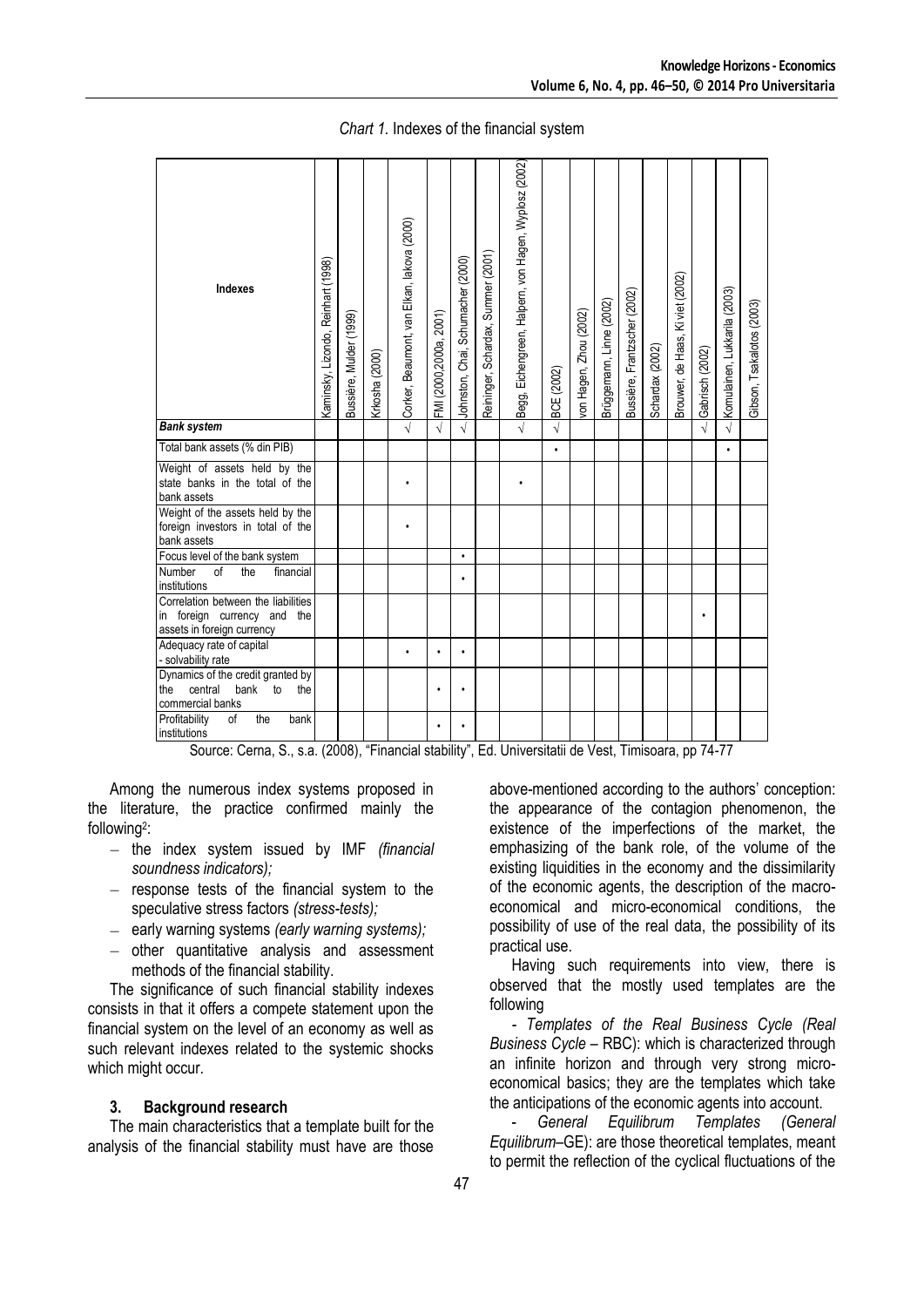| Kaminsky, Lizondo, Reinhart (1998) | Bussière, Mulder (1999) | Krkosha (2000) | Corker, Beaumont, van Elkan, lakova (2000) | FMI (2000,2000a, 2001) | Johnston, Chai, Schumacher (2000) | Reininger, Schardax, Summer (2001) | Begg, Eichengreen, Halpem, von Hagen, Wyplosz (2002) | BCE (2002)                                                                 | von Hagen, Zhou (2002) | Brüggemann, Linne (2002) | Bussière, Frantzscher (2002) | Schardax (2002) | Brouwer, de Haas, Ki viet (2002) | Gabrisch (2002) | Komulainen, Lukkarila (2003) | Gibson, Tsakalotos (2003)                                                          |
|------------------------------------|-------------------------|----------------|--------------------------------------------|------------------------|-----------------------------------|------------------------------------|------------------------------------------------------|----------------------------------------------------------------------------|------------------------|--------------------------|------------------------------|-----------------|----------------------------------|-----------------|------------------------------|------------------------------------------------------------------------------------|
|                                    |                         |                |                                            |                        |                                   |                                    |                                                      | $\sqrt{}$                                                                  |                        |                          |                              |                 |                                  |                 |                              |                                                                                    |
|                                    |                         |                |                                            |                        |                                   |                                    |                                                      | $\bullet$                                                                  |                        |                          |                              |                 |                                  |                 |                              |                                                                                    |
|                                    |                         |                |                                            |                        |                                   |                                    |                                                      |                                                                            |                        |                          |                              |                 |                                  |                 |                              |                                                                                    |
|                                    |                         |                |                                            |                        |                                   |                                    |                                                      |                                                                            |                        |                          |                              |                 |                                  |                 |                              |                                                                                    |
|                                    |                         |                |                                            |                        | $\bullet$                         |                                    |                                                      |                                                                            |                        |                          |                              |                 |                                  |                 |                              |                                                                                    |
|                                    |                         |                |                                            |                        |                                   |                                    |                                                      |                                                                            |                        |                          |                              |                 |                                  |                 |                              |                                                                                    |
|                                    |                         |                |                                            |                        |                                   |                                    |                                                      |                                                                            |                        |                          |                              |                 |                                  |                 |                              |                                                                                    |
|                                    |                         |                |                                            | $\bullet$              | $\bullet$                         |                                    |                                                      |                                                                            |                        |                          |                              |                 |                                  |                 |                              |                                                                                    |
|                                    |                         |                |                                            |                        |                                   |                                    |                                                      |                                                                            |                        |                          |                              |                 |                                  |                 |                              |                                                                                    |
|                                    |                         |                |                                            | $\bullet$              |                                   |                                    |                                                      |                                                                            |                        |                          |                              |                 |                                  |                 |                              |                                                                                    |
|                                    |                         |                |                                            | $\sqrt{ }$             |                                   |                                    |                                                      | $\sqrt{2}$<br>$C_{\text{oumon}}$ $C_{\text{ann}}$ $C_{\text{on}}$ $(2000)$ |                        |                          |                              |                 |                                  |                 |                              | $\sqrt{}$<br>"Financial otability" Ed. Universitatii de Veet Timioecase pp. 74, 77 |

*Chart 1.* Indexes of the financial system

Source: Cerna, S., s.a. (2008), "Financial stability", Ed. Universitatii de Vest, Timisoara, pp 74-77

Among the numerous index systems proposed in the literature, the practice confirmed mainly the following<sup>2</sup>:

- the index system issued by IMF *(financial soundness indicators);*
- $-$  response tests of the financial system to the speculative stress factors *(stress-tests);*
- early warning systems *(early warning systems);*
- $-$  other quantitative analysis and assessment methods of the financial stability.

The significance of such financial stability indexes consists in that it offers a compete statement upon the financial system on the level of an economy as well as such relevant indexes related to the systemic shocks which might occur.

#### **3. Background research**

The main characteristics that a template built for the analysis of the financial stability must have are those

above-mentioned according to the authors' conception: the appearance of the contagion phenomenon, the existence of the imperfections of the market, the emphasizing of the bank role, of the volume of the existing liquidities in the economy and the dissimilarity of the economic agents, the description of the macroeconomical and micro-economical conditions, the possibility of use of the real data, the possibility of its practical use.

Having such requirements into view, there is observed that the mostly used templates are the following

*- Templates of the Real Business Cycle (Real Business Cycle* – RBC): which is characterized through an infinite horizon and through very strong microeconomical basics; they are the templates which take the anticipations of the economic agents into account.

- *General Equilibrum Templates (General Equilibrum*–GE): are those theoretical templates, meant to permit the reflection of the cyclical fluctuations of the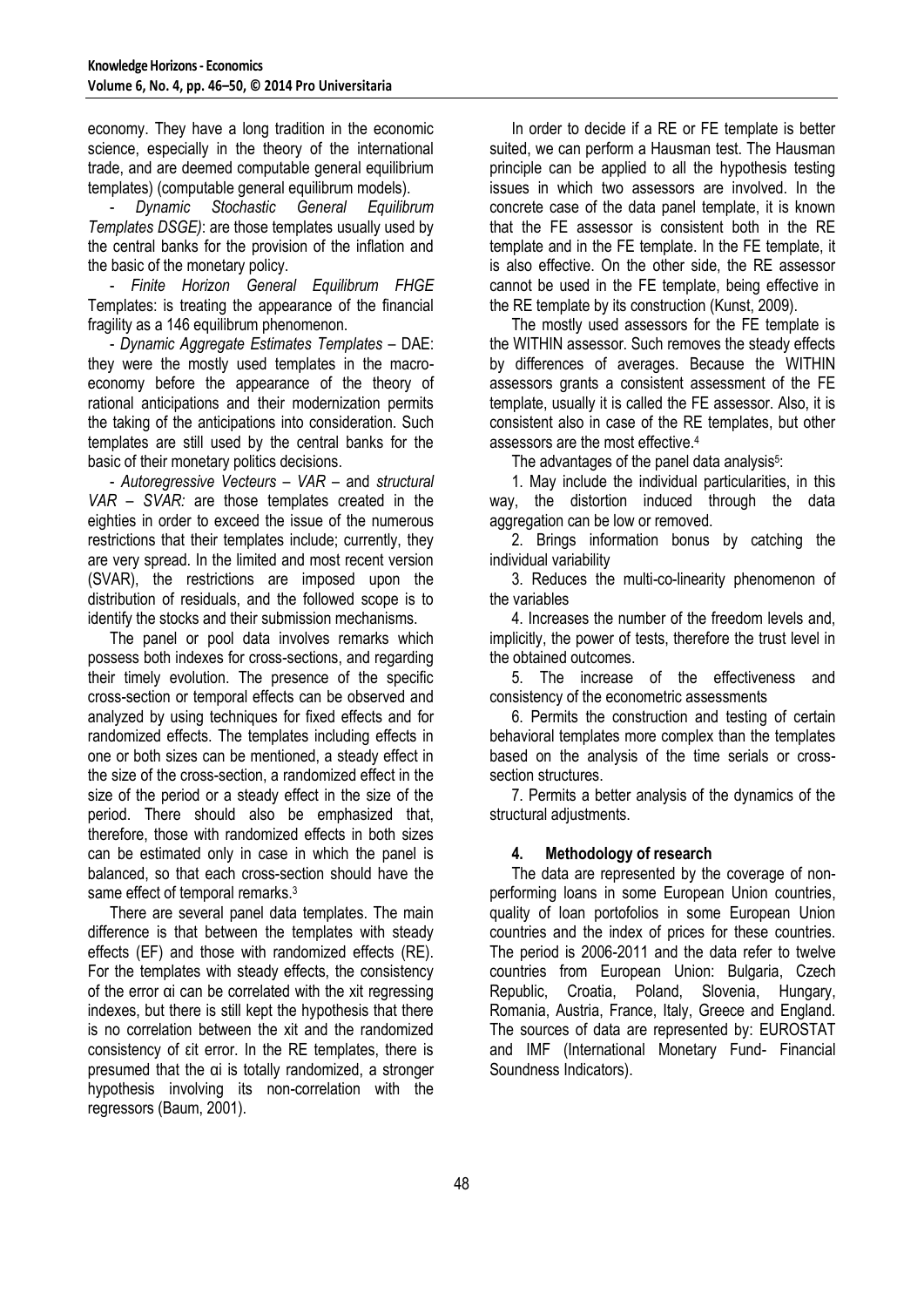economy. They have a long tradition in the economic science, especially in the theory of the international trade, and are deemed computable general equilibrium templates) (computable general equilibrum models).

- *Dynamic Stochastic General Equilibrum Templates DSGE)*: are those templates usually used by the central banks for the provision of the inflation and the basic of the monetary policy.

- *Finite Horizon General Equilibrum FHGE*  Templates: is treating the appearance of the financial fragility as a 146 equilibrum phenomenon.

- *Dynamic Aggregate Estimates Templates –* DAE: they were the mostly used templates in the macroeconomy before the appearance of the theory of rational anticipations and their modernization permits the taking of the anticipations into consideration. Such templates are still used by the central banks for the basic of their monetary politics decisions.

- *Autoregressive Vecteurs – VAR –* and *structural VAR – SVAR:* are those templates created in the eighties in order to exceed the issue of the numerous restrictions that their templates include; currently, they are very spread. In the limited and most recent version (SVAR), the restrictions are imposed upon the distribution of residuals, and the followed scope is to identify the stocks and their submission mechanisms.

The panel or pool data involves remarks which possess both indexes for cross-sections, and regarding their timely evolution. The presence of the specific cross-section or temporal effects can be observed and analyzed by using techniques for fixed effects and for randomized effects. The templates including effects in one or both sizes can be mentioned, a steady effect in the size of the cross-section, a randomized effect in the size of the period or a steady effect in the size of the period. There should also be emphasized that, therefore, those with randomized effects in both sizes can be estimated only in case in which the panel is balanced, so that each cross-section should have the same effect of temporal remarks.<sup>3</sup>

There are several panel data templates. The main difference is that between the templates with steady effects (EF) and those with randomized effects (RE). For the templates with steady effects, the consistency of the error αi can be correlated with the xit regressing indexes, but there is still kept the hypothesis that there is no correlation between the xit and the randomized consistency of εit error. In the RE templates, there is presumed that the αi is totally randomized, a stronger hypothesis involving its non-correlation with the regressors (Baum, 2001).

In order to decide if a RE or FE template is better suited, we can perform a Hausman test. The Hausman principle can be applied to all the hypothesis testing issues in which two assessors are involved. In the concrete case of the data panel template, it is known that the FE assessor is consistent both in the RE template and in the FE template. In the FE template, it is also effective. On the other side, the RE assessor cannot be used in the FE template, being effective in the RE template by its construction (Kunst, 2009).

The mostly used assessors for the FE template is the WITHIN assessor. Such removes the steady effects by differences of averages. Because the WITHIN assessors grants a consistent assessment of the FE template, usually it is called the FE assessor. Also, it is consistent also in case of the RE templates, but other assessors are the most effective.<sup>4</sup>

The advantages of the panel data analysis<sup>5</sup>:

1. May include the individual particularities, in this way, the distortion induced through the data aggregation can be low or removed.

2. Brings information bonus by catching the individual variability

3. Reduces the multi-co-linearity phenomenon of the variables

4. Increases the number of the freedom levels and, implicitly, the power of tests, therefore the trust level in the obtained outcomes.

5. The increase of the effectiveness and consistency of the econometric assessments

6. Permits the construction and testing of certain behavioral templates more complex than the templates based on the analysis of the time serials or crosssection structures.

7. Permits a better analysis of the dynamics of the structural adjustments.

# **4. Methodology of research**

The data are represented by the coverage of nonperforming loans in some European Union countries, quality of loan portofolios in some European Union countries and the index of prices for these countries. The period is 2006-2011 and the data refer to twelve countries from European Union: Bulgaria, Czech Republic, Croatia, Poland, Slovenia, Hungary, Romania, Austria, France, Italy, Greece and England. The sources of data are represented by: EUROSTAT and IMF (International Monetary Fund- Financial Soundness Indicators).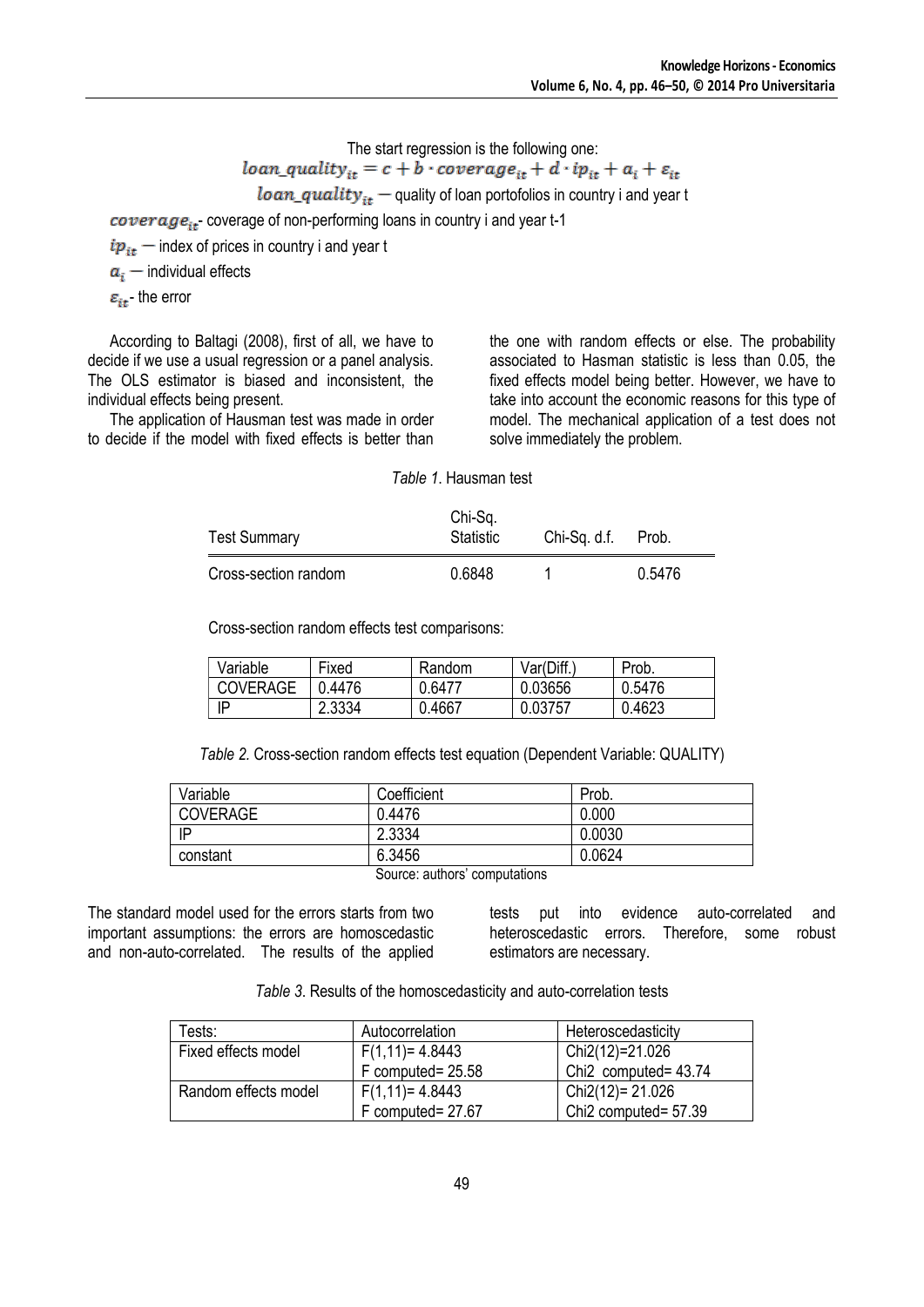The start regression is the following one:

$$
loan_quality_{it} = c + b \cdot coverage_{it} + d \cdot ip_{it} + a_i + \varepsilon_{it}
$$

 $\textit{loan}_\textit{quality}_{it}$  – quality of loan portofolios in country i and year t

 $\overline{coverage}_{it}$  coverage of non-performing loans in country i and year t-1

 $ip_{it}$  – index of prices in country i and year t

 $a_i$  – individual effects

 $\varepsilon_{it}$ - the error

According to Baltagi (2008), first of all, we have to decide if we use a usual regression or a panel analysis. The OLS estimator is biased and inconsistent, the individual effects being present.

The application of Hausman test was made in order to decide if the model with fixed effects is better than the one with random effects or else. The probability associated to Hasman statistic is less than 0.05, the fixed effects model being better. However, we have to take into account the economic reasons for this type of model. The mechanical application of a test does not solve immediately the problem.

*Table 1*. Hausman test

| <b>Test Summary</b>  | Chi-Sq.<br>Statistic | Chi-Sq. d.f. | Prob.  |
|----------------------|----------------------|--------------|--------|
| Cross-section random | 0.6848               |              | 0.5476 |

Cross-section random effects test comparisons:

| Variable        | Fixed  | Random | Var(Diff. | Prob.  |
|-----------------|--------|--------|-----------|--------|
| <b>COVERAGE</b> | ገ.4476 | 0.6477 | 0.03656   | 0.5476 |
| ΙP              | 2.3334 | 0.4667 | 0.03757   | 0.4623 |

*Table 2.* Cross-section random effects test equation (Dependent Variable: QUALITY)

| Variable        | Coefficient                   | Prob.  |
|-----------------|-------------------------------|--------|
| <b>COVERAGE</b> | 0.4476                        | 0.000  |
| IP              | 2.3334                        | 0.0030 |
| constant        | 6.3456                        | 0.0624 |
|                 | Source: authors' computations |        |

The standard model used for the errors starts from two important assumptions: the errors are homoscedastic and non-auto-correlated. The results of the applied tests put into evidence auto-correlated and heteroscedastic errors. Therefore, some robust estimators are necessary.

*Table 3*. Results of the homoscedasticity and auto-correlation tests

| Tests:               | Autocorrelation   | Heteroscedasticity               |
|----------------------|-------------------|----------------------------------|
| Fixed effects model  | $F(1,11)=4.8443$  | Chi2(12)=21.026                  |
|                      | F computed= 25.58 | Chi <sub>2</sub> computed= 43.74 |
| Random effects model | $F(1,11)=4.8443$  | Chi2(12)= 21.026                 |
|                      | F computed= 27.67 | Chi <sub>2</sub> computed= 57.39 |